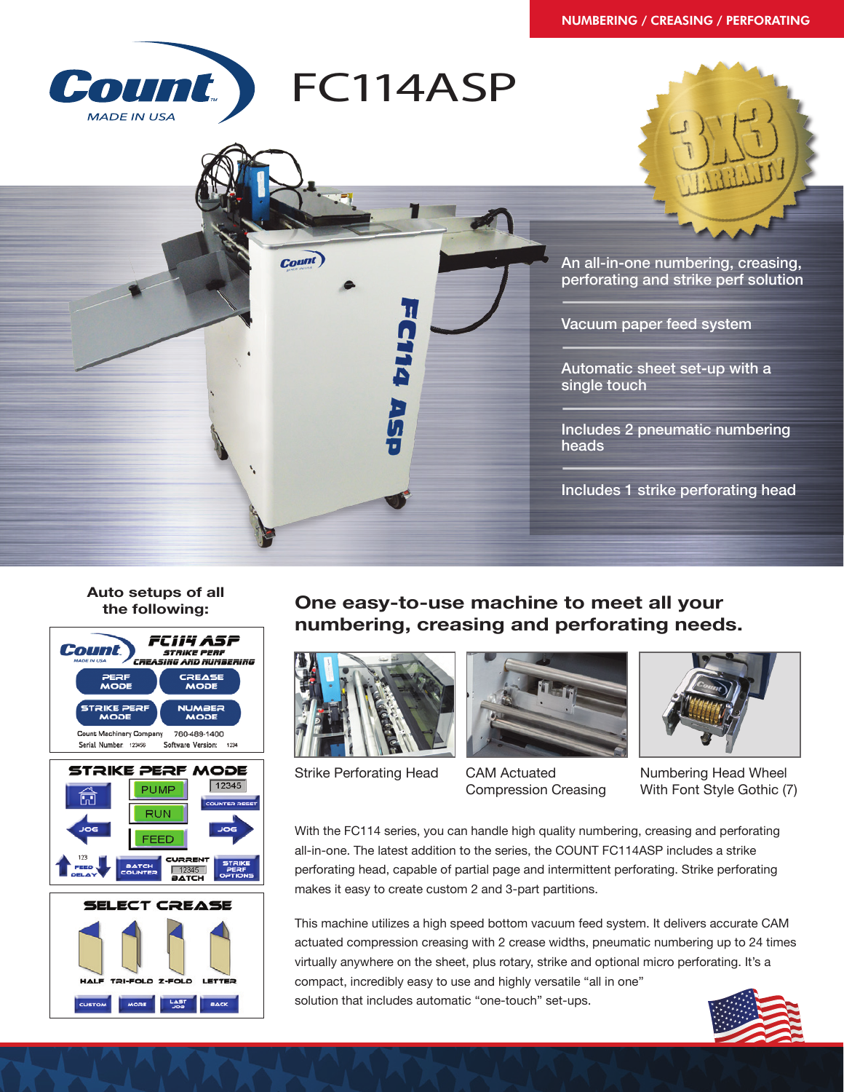## NUMBERING / CREASING / PERFORATING



**Auto setups of all the following:**



**BACK** 

**One easy-to-use machine to meet all your numbering, creasing and perforating needs.**



Strike Perforating Head



CAM Actuated Compression Creasing



Numbering Head Wheel With Font Style Gothic (7)

With the FC114 series, you can handle high quality numbering, creasing and perforating all-in-one. The latest addition to the series, the COUNT FC114ASP includes a strike perforating head, capable of partial page and intermittent perforating. Strike perforating makes it easy to create custom 2 and 3-part partitions.

This machine utilizes a high speed bottom vacuum feed system. It delivers accurate CAM actuated compression creasing with 2 crease widths, pneumatic numbering up to 24 times virtually anywhere on the sheet, plus rotary, strike and optional micro perforating. It's a compact, incredibly easy to use and highly versatile "all in one" solution that includes automatic "one-touch" set-ups.